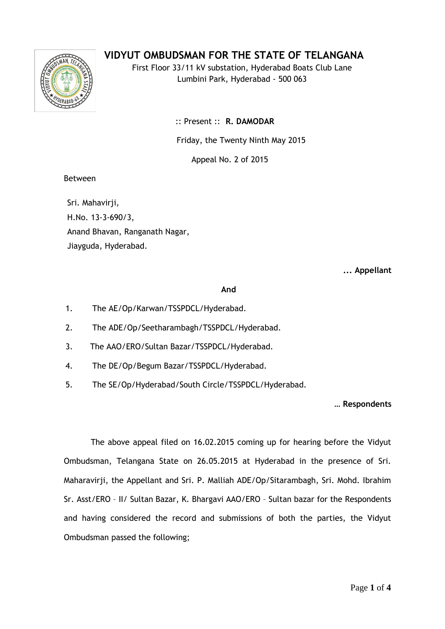# **VIDYUT OMBUDSMAN FOR THE STATE OF TELANGANA**



First Floor 33/11 kV substation, Hyderabad Boats Club Lane Lumbini Park, Hyderabad - 500 063

:: Present :: **R. DAMODAR**

Friday, the Twenty Ninth May 2015

Appeal No. 2 of 2015

### Between

Sri. Mahavirji, H.No. 13-3-690/3, Anand Bhavan, Ranganath Nagar, Jiayguda, Hyderabad.

**... Appellant**

#### **And**

- 1. The AE/Op/Karwan/TSSPDCL/Hyderabad.
- 2. The ADE/Op/Seetharambagh/TSSPDCL/Hyderabad.
- 3. 3. The AAO/ERO/Sultan Bazar/TSSPDCL/Hyderabad.
- 4. The DE/Op/Begum Bazar/TSSPDCL/Hyderabad.
- 5. The SE/Op/Hyderabad/South Circle/TSSPDCL/Hyderabad.

#### **… Respondents**

The above appeal filed on 16.02.2015 coming up for hearing before the Vidyut Ombudsman, Telangana State on 26.05.2015 at Hyderabad in the presence of Sri. Maharavirji, the Appellant and Sri. P. Malliah ADE/Op/Sitarambagh, Sri. Mohd. Ibrahim Sr. Asst/ERO – II/ Sultan Bazar, K. Bhargavi AAO/ERO – Sultan bazar for the Respondents and having considered the record and submissions of both the parties, the Vidyut Ombudsman passed the following;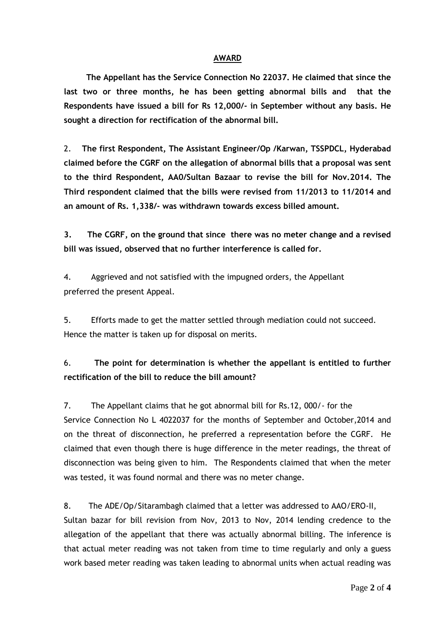#### **AWARD**

 **The Appellant has the Service Connection No 22037. He claimed that since the last two or three months, he has been getting abnormal bills and that the Respondents have issued a bill for Rs 12,000/- in September without any basis. He sought a direction for rectification of the abnormal bill.**

2. **The first Respondent, The Assistant Engineer/Op /Karwan, TSSPDCL, Hyderabad claimed before the CGRF on the allegation of abnormal bills that a proposal was sent to the third Respondent, AA0/Sultan Bazaar to revise the bill for Nov.2014. The Third respondent claimed that the bills were revised from 11/2013 to 11/2014 and an amount of Rs. 1,338/- was withdrawn towards excess billed amount.**

**3. The CGRF, on the ground that since there was no meter change and a revised bill was issued, observed that no further interference is called for.**

4. Aggrieved and not satisfied with the impugned orders, the Appellant preferred the present Appeal.

5. Efforts made to get the matter settled through mediation could not succeed. Hence the matter is taken up for disposal on merits.

6. **The point for determination is whether the appellant is entitled to further rectification of the bill to reduce the bill amount?**

7. The Appellant claims that he got abnormal bill for Rs.12, 000/- for the Service Connection No L 4022037 for the months of September and October,2014 and on the threat of disconnection, he preferred a representation before the CGRF. He claimed that even though there is huge difference in the meter readings, the threat of disconnection was being given to him. The Respondents claimed that when the meter was tested, it was found normal and there was no meter change.

8. The ADE/Op/Sitarambagh claimed that a letter was addressed to AAO/ERO-II,

Sultan bazar for bill revision from Nov, 2013 to Nov, 2014 lending credence to the allegation of the appellant that there was actually abnormal billing. The inference is that actual meter reading was not taken from time to time regularly and only a guess work based meter reading was taken leading to abnormal units when actual reading was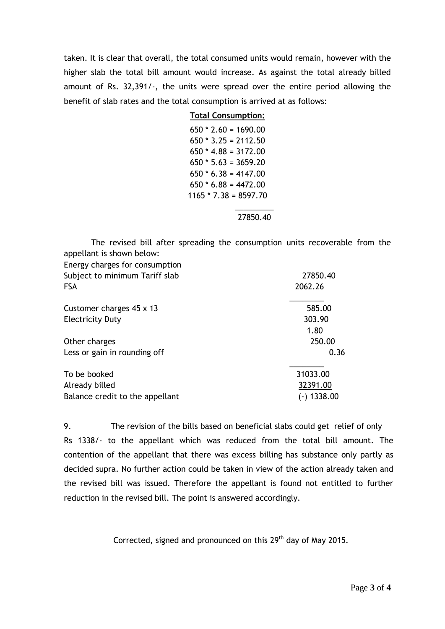taken. It is clear that overall, the total consumed units would remain, however with the higher slab the total bill amount would increase. As against the total already billed amount of Rs. 32,391/-, the units were spread over the entire period allowing the benefit of slab rates and the total consumption is arrived at as follows:

| <b>Total Consumption:</b> |
|---------------------------|
| $650 * 2.60 = 1690.00$    |
| $650 * 3.25 = 2112.50$    |
| $650 * 4.88 = 3172.00$    |
| $650 * 5.63 = 3659.20$    |
| $650 * 6.38 = 4147.00$    |
| $650 * 6.88 = 4472.00$    |
| $1165 * 7.38 = 8597.70$   |
|                           |

27850.40

 The revised bill after spreading the consumption units recoverable from the appellant is shown below:

| Energy charges for consumption  |             |
|---------------------------------|-------------|
| Subject to minimum Tariff slab  | 27850.40    |
| <b>FSA</b>                      | 2062.26     |
| Customer charges 45 x 13        | 585.00      |
| <b>Electricity Duty</b>         | 303.90      |
|                                 | 1.80        |
| Other charges                   | 250.00      |
| Less or gain in rounding off    | 0.36        |
| To be booked                    | 31033.00    |
| Already billed                  | 32391.00    |
| Balance credit to the appellant | (-) 1338.00 |

9. The revision of the bills based on beneficial slabs could get relief of only Rs 1338/- to the appellant which was reduced from the total bill amount. The contention of the appellant that there was excess billing has substance only partly as decided supra. No further action could be taken in view of the action already taken and the revised bill was issued. Therefore the appellant is found not entitled to further reduction in the revised bill. The point is answered accordingly.

Corrected, signed and pronounced on this 29<sup>th</sup> day of May 2015.